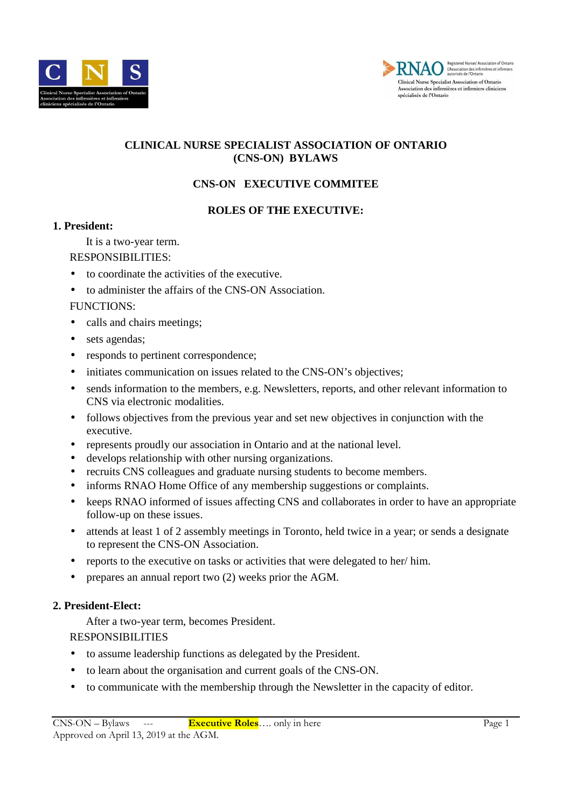



## **CLINICAL NURSE SPECIALIST ASSOCIATION OF ONTARIO (CNS-ON) BYLAWS**

# **CNS-ON EXECUTIVE COMMITEE**

### **ROLES OF THE EXECUTIVE:**

### **1. President:**

It is a two-year term.

### RESPONSIBILITIES:

- to coordinate the activities of the executive.
- to administer the affairs of the CNS-ON Association.

### FUNCTIONS:

- calls and chairs meetings;
- sets agendas;
- responds to pertinent correspondence;
- initiates communication on issues related to the CNS-ON's objectives;
- sends information to the members, e.g. Newsletters, reports, and other relevant information to CNS via electronic modalities.
- follows objectives from the previous year and set new objectives in conjunction with the executive.
- represents proudly our association in Ontario and at the national level.
- develops relationship with other nursing organizations.
- recruits CNS colleagues and graduate nursing students to become members.
- informs RNAO Home Office of any membership suggestions or complaints.
- keeps RNAO informed of issues affecting CNS and collaborates in order to have an appropriate follow-up on these issues.
- attends at least 1 of 2 assembly meetings in Toronto, held twice in a year; or sends a designate to represent the CNS-ON Association.
- reports to the executive on tasks or activities that were delegated to her/ him.
- prepares an annual report two (2) weeks prior the AGM.

### **2. President-Elect:**

After a two-year term, becomes President.

RESPONSIBILITIES

- to assume leadership functions as delegated by the President.
- to learn about the organisation and current goals of the CNS-ON.
- to communicate with the membership through the Newsletter in the capacity of editor.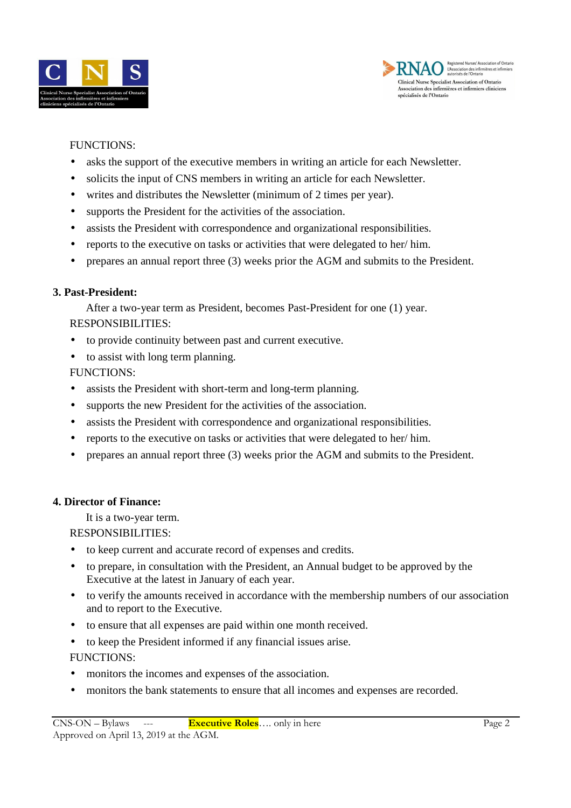



### FUNCTIONS:

- asks the support of the executive members in writing an article for each Newsletter.
- solicits the input of CNS members in writing an article for each Newsletter.
- writes and distributes the Newsletter (minimum of 2 times per year).
- supports the President for the activities of the association.
- assists the President with correspondence and organizational responsibilities.
- reports to the executive on tasks or activities that were delegated to her/ him.
- prepares an annual report three (3) weeks prior the AGM and submits to the President.

### **3. Past-President:**

After a two-year term as President, becomes Past-President for one (1) year. RESPONSIBILITIES:

- to provide continuity between past and current executive.
- to assist with long term planning.

FUNCTIONS:

- assists the President with short-term and long-term planning.
- supports the new President for the activities of the association.
- assists the President with correspondence and organizational responsibilities.
- reports to the executive on tasks or activities that were delegated to her/ him.
- prepares an annual report three (3) weeks prior the AGM and submits to the President.

### **4. Director of Finance:**

It is a two-year term.

RESPONSIBILITIES:

- to keep current and accurate record of expenses and credits.
- to prepare, in consultation with the President, an Annual budget to be approved by the Executive at the latest in January of each year.
- to verify the amounts received in accordance with the membership numbers of our association and to report to the Executive.
- to ensure that all expenses are paid within one month received.
- to keep the President informed if any financial issues arise. FUNCTIONS:
- monitors the incomes and expenses of the association.
- monitors the bank statements to ensure that all incomes and expenses are recorded.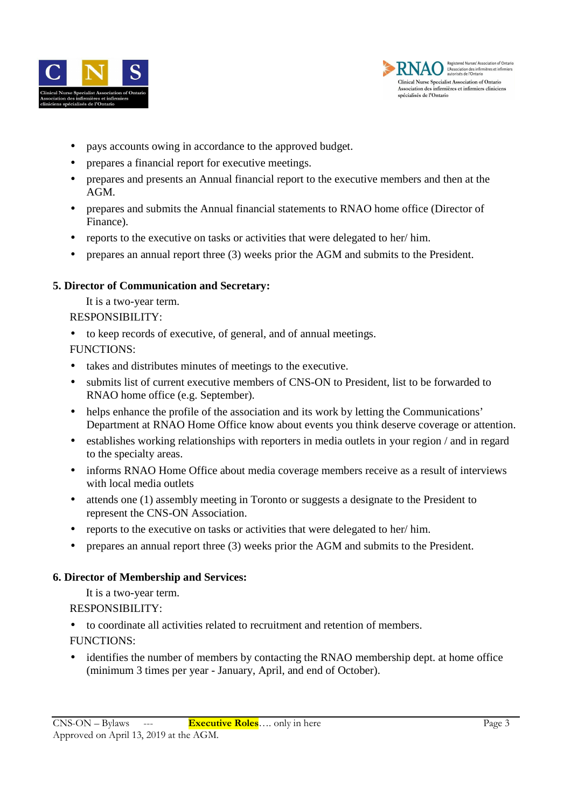



- pays accounts owing in accordance to the approved budget.
- prepares a financial report for executive meetings.
- prepares and presents an Annual financial report to the executive members and then at the AGM.
- prepares and submits the Annual financial statements to RNAO home office (Director of Finance).
- reports to the executive on tasks or activities that were delegated to her/ him.
- prepares an annual report three (3) weeks prior the AGM and submits to the President.

### **5. Director of Communication and Secretary:**

It is a two-year term.

RESPONSIBILITY:

• to keep records of executive, of general, and of annual meetings.

FUNCTIONS:

- takes and distributes minutes of meetings to the executive.
- submits list of current executive members of CNS-ON to President, list to be forwarded to RNAO home office (e.g. September).
- helps enhance the profile of the association and its work by letting the Communications' Department at RNAO Home Office know about events you think deserve coverage or attention.
- establishes working relationships with reporters in media outlets in your region / and in regard to the specialty areas.
- informs RNAO Home Office about media coverage members receive as a result of interviews with local media outlets
- attends one (1) assembly meeting in Toronto or suggests a designate to the President to represent the CNS-ON Association.
- reports to the executive on tasks or activities that were delegated to her/ him.
- prepares an annual report three (3) weeks prior the AGM and submits to the President.

## **6. Director of Membership and Services:**

It is a two-year term.

RESPONSIBILITY:

• to coordinate all activities related to recruitment and retention of members.

FUNCTIONS:

• identifies the number of members by contacting the RNAO membership dept. at home office (minimum 3 times per year - January, April, and end of October).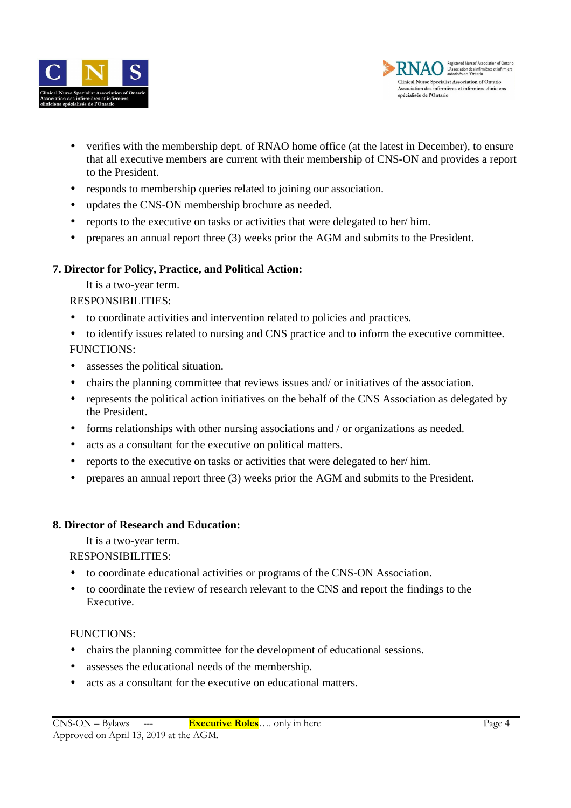



- verifies with the membership dept. of RNAO home office (at the latest in December), to ensure that all executive members are current with their membership of CNS-ON and provides a report to the President.
- responds to membership queries related to joining our association.
- updates the CNS-ON membership brochure as needed.
- reports to the executive on tasks or activities that were delegated to her/ him.
- prepares an annual report three (3) weeks prior the AGM and submits to the President.

## **7. Director for Policy, Practice, and Political Action:**

It is a two-year term.

RESPONSIBILITIES:

- to coordinate activities and intervention related to policies and practices.
- to identify issues related to nursing and CNS practice and to inform the executive committee. FUNCTIONS:
- assesses the political situation.
- chairs the planning committee that reviews issues and/ or initiatives of the association.
- represents the political action initiatives on the behalf of the CNS Association as delegated by the President.
- forms relationships with other nursing associations and / or organizations as needed.
- acts as a consultant for the executive on political matters.
- reports to the executive on tasks or activities that were delegated to her/ him.
- prepares an annual report three (3) weeks prior the AGM and submits to the President.

## **8. Director of Research and Education:**

It is a two-year term.

RESPONSIBILITIES:

- to coordinate educational activities or programs of the CNS-ON Association.
- to coordinate the review of research relevant to the CNS and report the findings to the Executive.

## FUNCTIONS:

- chairs the planning committee for the development of educational sessions.
- assesses the educational needs of the membership.
- acts as a consultant for the executive on educational matters.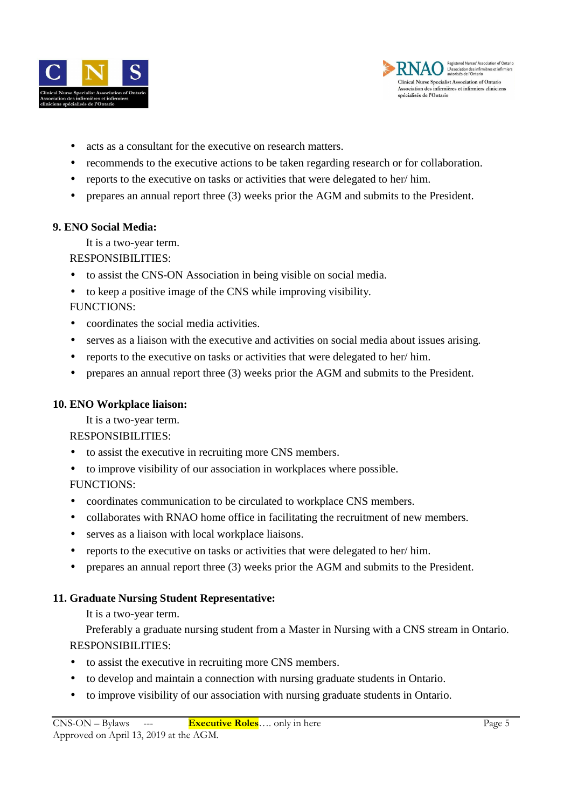



- acts as a consultant for the executive on research matters.
- recommends to the executive actions to be taken regarding research or for collaboration.
- reports to the executive on tasks or activities that were delegated to her/ him.
- prepares an annual report three (3) weeks prior the AGM and submits to the President.

### **9. ENO Social Media:**

It is a two-year term.

### RESPONSIBILITIES:

- to assist the CNS-ON Association in being visible on social media.
- to keep a positive image of the CNS while improving visibility.
- FUNCTIONS:
- coordinates the social media activities.
- serves as a liaison with the executive and activities on social media about issues arising.
- reports to the executive on tasks or activities that were delegated to her/ him.
- prepares an annual report three (3) weeks prior the AGM and submits to the President.

## **10. ENO Workplace liaison:**

It is a two-year term.

### RESPONSIBILITIES:

- to assist the executive in recruiting more CNS members.
- to improve visibility of our association in workplaces where possible.

## FUNCTIONS:

- coordinates communication to be circulated to workplace CNS members.
- collaborates with RNAO home office in facilitating the recruitment of new members.
- serves as a liaison with local workplace liaisons.
- reports to the executive on tasks or activities that were delegated to her/ him.
- prepares an annual report three (3) weeks prior the AGM and submits to the President.

## **11. Graduate Nursing Student Representative:**

It is a two-year term.

Preferably a graduate nursing student from a Master in Nursing with a CNS stream in Ontario. RESPONSIBILITIES:

- to assist the executive in recruiting more CNS members.
- to develop and maintain a connection with nursing graduate students in Ontario.
- to improve visibility of our association with nursing graduate students in Ontario.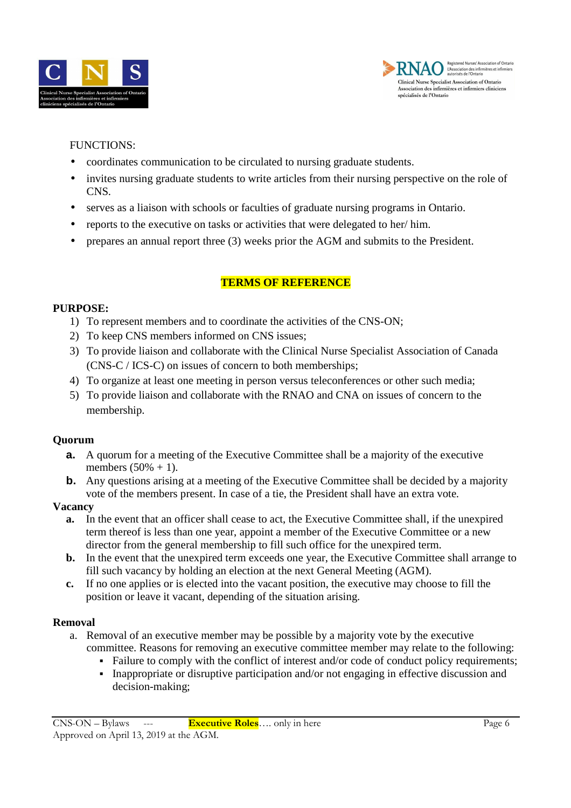



### FUNCTIONS:

- coordinates communication to be circulated to nursing graduate students.
- invites nursing graduate students to write articles from their nursing perspective on the role of CNS.
- serves as a liaison with schools or faculties of graduate nursing programs in Ontario.
- reports to the executive on tasks or activities that were delegated to her/ him.
- prepares an annual report three (3) weeks prior the AGM and submits to the President.

### **TERMS OF REFERENCE**

### **PURPOSE:**

- 1) To represent members and to coordinate the activities of the CNS-ON;
- 2) To keep CNS members informed on CNS issues;
- 3) To provide liaison and collaborate with the Clinical Nurse Specialist Association of Canada (CNS-C / ICS-C) on issues of concern to both memberships;
- 4) To organize at least one meeting in person versus teleconferences or other such media;
- 5) To provide liaison and collaborate with the RNAO and CNA on issues of concern to the membership.

### **Quorum**

- **a.** A quorum for a meeting of the Executive Committee shall be a majority of the executive members  $(50% + 1)$ .
- **b.** Any questions arising at a meeting of the Executive Committee shall be decided by a majority vote of the members present. In case of a tie, the President shall have an extra vote.

#### **Vacancy**

- **a.** In the event that an officer shall cease to act, the Executive Committee shall, if the unexpired term thereof is less than one year, appoint a member of the Executive Committee or a new director from the general membership to fill such office for the unexpired term.
- **b.** In the event that the unexpired term exceeds one year, the Executive Committee shall arrange to fill such vacancy by holding an election at the next General Meeting (AGM).
- **c.** If no one applies or is elected into the vacant position, the executive may choose to fill the position or leave it vacant, depending of the situation arising.

### **Removal**

- a. Removal of an executive member may be possible by a majority vote by the executive committee. Reasons for removing an executive committee member may relate to the following:
	- Failure to comply with the conflict of interest and/or code of conduct policy requirements;
	- Inappropriate or disruptive participation and/or not engaging in effective discussion and decision-making;